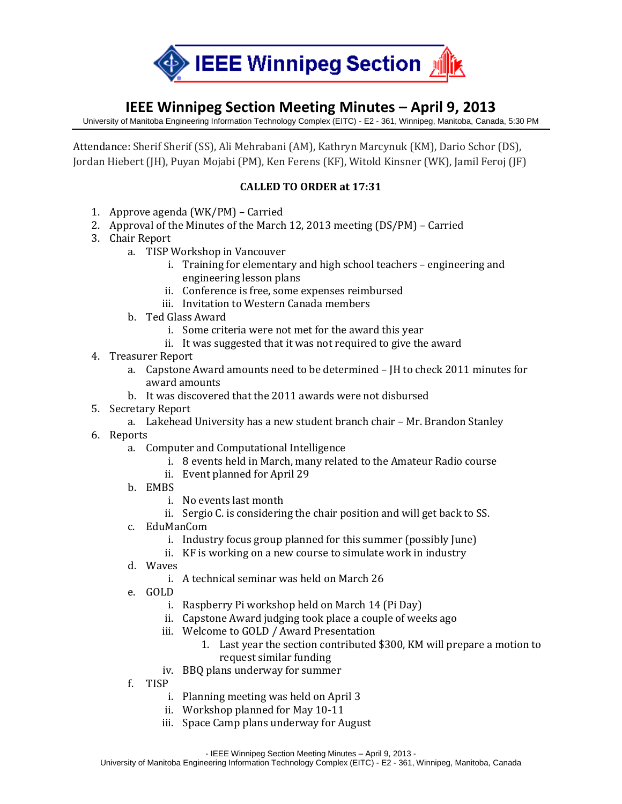

## **IEEE Winnipeg Section Meeting Minutes – April 9, 2013**

University of Manitoba Engineering Information Technology Complex (EITC) - E2 - 361, Winnipeg, Manitoba, Canada, 5:30 PM

Attendance: Sherif Sherif (SS), Ali Mehrabani (AM), Kathryn Marcynuk (KM), Dario Schor (DS), Jordan Hiebert (JH), Puyan Mojabi (PM), Ken Ferens (KF), Witold Kinsner (WK), Jamil Feroj (JF)

## **CALLED TO ORDER at 17:31**

- 1. Approve agenda (WK/PM) Carried
- 2. Approval of the Minutes of the March 12, 2013 meeting (DS/PM) Carried
- 3. Chair Report
	- a. TISP Workshop in Vancouver
		- i. Training for elementary and high school teachers engineering and engineering lesson plans
		- ii. Conference is free, some expenses reimbursed
		- iii. Invitation to Western Canada members
	- b. Ted Glass Award
		- i. Some criteria were not met for the award this year
		- ii. It was suggested that it was not required to give the award
- 4. Treasurer Report
	- a. Capstone Award amounts need to be determined JH to check 2011 minutes for award amounts
	- b. It was discovered that the 2011 awards were not disbursed
- 5. Secretary Report
	- a. Lakehead University has a new student branch chair Mr. Brandon Stanley
- 6. Reports
	- a. Computer and Computational Intelligence
		- i. 8 events held in March, many related to the Amateur Radio course
		- ii. Event planned for April 29
	- b. EMBS
		- i. No events last month
		- ii. Sergio C. is considering the chair position and will get back to SS.
	- c. EduManCom
		- i. Industry focus group planned for this summer (possibly June)
		- ii. KF is working on a new course to simulate work in industry
	- d. Waves
		- i. A technical seminar was held on March 26
	- e. GOLD
		- i. Raspberry Pi workshop held on March 14 (Pi Day)
		- ii. Capstone Award judging took place a couple of weeks ago
		- iii. Welcome to GOLD / Award Presentation
			- 1. Last year the section contributed \$300, KM will prepare a motion to request similar funding
		- iv. BBQ plans underway for summer
	- f. TISP
		- i. Planning meeting was held on April 3
		- ii. Workshop planned for May 10-11
		- iii. Space Camp plans underway for August